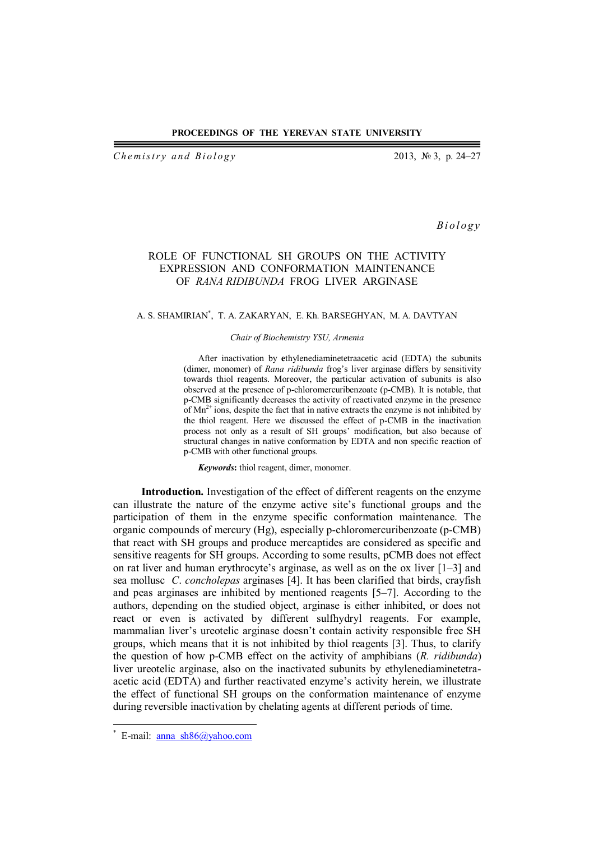#### **PROCEEDINGS OF THE YEREVAN STATE UNIVERSITY**

*Chemistry and Biology* 2013, № 3, p. 24–27

*B i o l o g y*

# ROLE OF FUNCTIONAL SH GROUPS ON THE ACTIVITY EXPRESSION AND CONFORMATION MAINTENANCE OF *RANA RIDIBUNDA* FROG LIVER ARGINASE

#### A. S. SHAMIRIAN\* , T. A. ZAKARYAN, E. Kh. BARSEGHYAN, M. A. DAVTYAN

### *Chair of Biochemistry YSU, Armenia*

After inactivation by **e**thylenediaminetetraacetic acid (EDTA) the subunits (dimer, monomer) of *Rana ridibunda* frog's liver arginase differs by sensitivity towards thiol reagents. Moreover, the particular activation of subunits is also observed at the presence of p-chloromercuribenzoate (p-CMB). It is notable, that p-CMB significantly decreases the activity of reactivated enzyme in the presence of  $Mn^{2+}$  ions, despite the fact that in native extracts the enzyme is not inhibited by the thiol reagent. Here we discussed the effect of p-CMB in the inactivation process not only as a result of SH groups' modification, but also because of structural changes in native conformation by EDTA and non specific reaction of p-CMB with other functional groups.

*Keywords***:** thiol reagent, dimer, monomer.

**Introduction.** Investigation of the effect of different reagents on the enzyme can illustrate the nature of the enzyme active site's functional groups and the participation of them in the enzyme specific conformation maintenance. The organic compounds of mercury (Hg), especially p-chloromercuribenzoate (p-CMB) that react with SH groups and produce mercaptides are considered as specific and sensitive reagents for SH groups. According to some results, pCMB does not effect on rat liver and human erythrocyte's arginase, as well as on the ox liver [1–3] and sea mollusc *C*. *concholepas* arginases [4]. It has been clarified that birds, crayfish and peas arginases are inhibited by mentioned reagents [5–7]. According to the authors, depending on the studied object, arginase is either inhibited, or does not react or even is activated by different sulfhydryl reagents. For example, mammalian liver's ureotelic arginase doesn't contain activity responsible free SH groups, which means that it is not inhibited by thiol reagents [3]. Thus, to clarify the question of how p-CMB effect on the activity of amphibians (*R. ridibunda*) liver ureotelic arginase, also on the inactivated subunits by ethylenediaminetetraacetic acid (EDTA) and further reactivated enzyme's activity herein, we illustrate the effect of functional SH groups on the conformation maintenance of enzyme during reversible inactivation by chelating agents at different periods of time.

 $\overline{\phantom{a}}$ 

<sup>\*</sup> E-mail: anna\_sh86@yahoo.com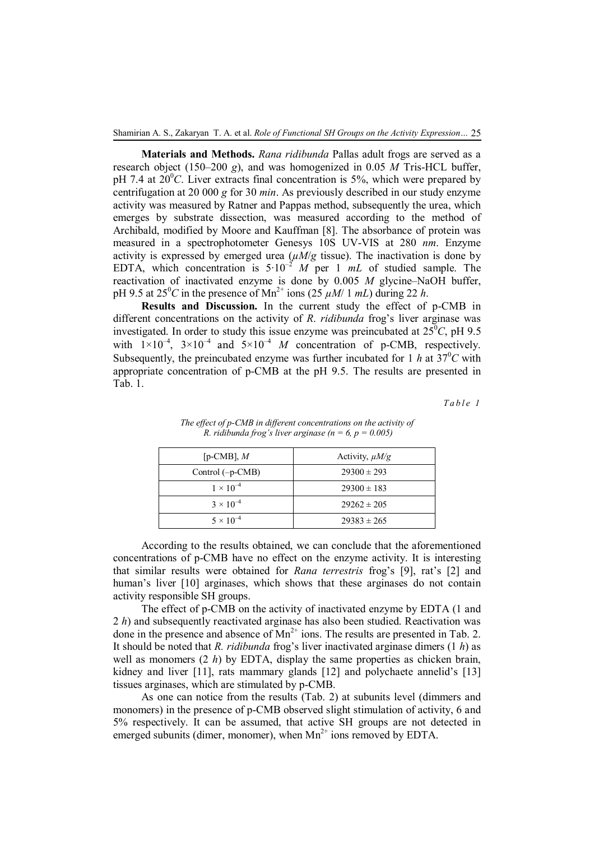**Materials and Methods.** *Rana ridibunda* Pallas adult frogs are served as a research object (150–200 *g*), and was homogenized in 0.05 *M* Tris-HCL buffer, pH 7.4 at  $20^{\circ}$ C. Liver extracts final concentration is 5%, which were prepared by centrifugation at 20 000 *g* for 30 *min*. As previously described in our study enzyme activity was measured by Ratner and Pappas method, subsequently the urea, which emerges by substrate dissection, was measured according to the method of Archibald, modified by Moore and Kauffman [8]. The absorbance of protein was measured in a spectrophotometer Genesys 10S UV-VIS at 280 *nm*. Enzyme activity is expressed by emerged urea  $(\mu M/g$  tissue). The inactivation is done by EDTA, which concentration is  $5.10^{-2}$  *M* per 1 *mL* of studied sample. The reactivation of inactivated enzyme is done by 0.005 *M* glycine–NaOH buffer, pH 9.5 at  $25^{\circ}$ C in the presence of Mn<sup>2+</sup> ions  $(25 \mu M/1 \ mL)$  during 22 h.

**Results and Discussion.** In the current study the effect of p-CMB in different concentrations on the activity of *R*. *ridibunda* frog's liver arginase was investigated. In order to study this issue enzyme was preincubated at  $25^{\circ}C$ , pH 9.5 with  $1\times10^{-4}$ ,  $3\times10^{-4}$  and  $5\times10^{-4}$  *M* concentration of p-CMB, respectively. Subsequently, the preincubated enzyme was further incubated for 1 *h* at  $37^{\circ}$ C with appropriate concentration of p-CMB at the pH 9.5. The results are presented in Tab. 1.

*T a b l e 1*

| [p-CMB], $M$       | Activity, $\mu M/g$ |  |  |
|--------------------|---------------------|--|--|
| Control $(-p-CMB)$ | $29300 \pm 293$     |  |  |
| $1 \times 10^{-4}$ | $29300 \pm 183$     |  |  |
| $3 \times 10^{-4}$ | $29262 \pm 205$     |  |  |
| $5 \times 10^{-4}$ | $29383 \pm 265$     |  |  |

*The effect of p-CMB in different concentrations on the activity of R. ridibunda frog's liver arginase (n = 6, p =*  $0.005$ *)* 

According to the results obtained, we can conclude that the aforementioned concentrations of p-CMB have no effect on the enzyme activity. It is interesting that similar results were obtained for *Rana terrestris* frog's [9], rat's [2] and human's liver [10] arginases, which shows that these arginases do not contain activity responsible SH groups.

The effect of p-CMB on the activity of inactivated enzyme by EDTA (1 and 2 *h*) and subsequently reactivated arginase has also been studied. Reactivation was done in the presence and absence of  $Mn^{2+}$  ions. The results are presented in Tab. 2. It should be noted that *R. ridibunda* frog's liver inactivated arginase dimers (1 *h*) as well as monomers (2 *h*) by EDTA, display the same properties as chicken brain, kidney and liver [11], rats mammary glands [12] and polychaete annelid's [13] tissues arginases, which are stimulated by p-CMB.

As one can notice from the results (Tab. 2) at subunits level (dimmers and monomers) in the presence of p-CMB observed slight stimulation of activity, 6 and 5% respectively. It can be assumed, that active SH groups are not detected in emerged subunits (dimer, monomer), when  $Mn^{2+}$  ions removed by EDTA.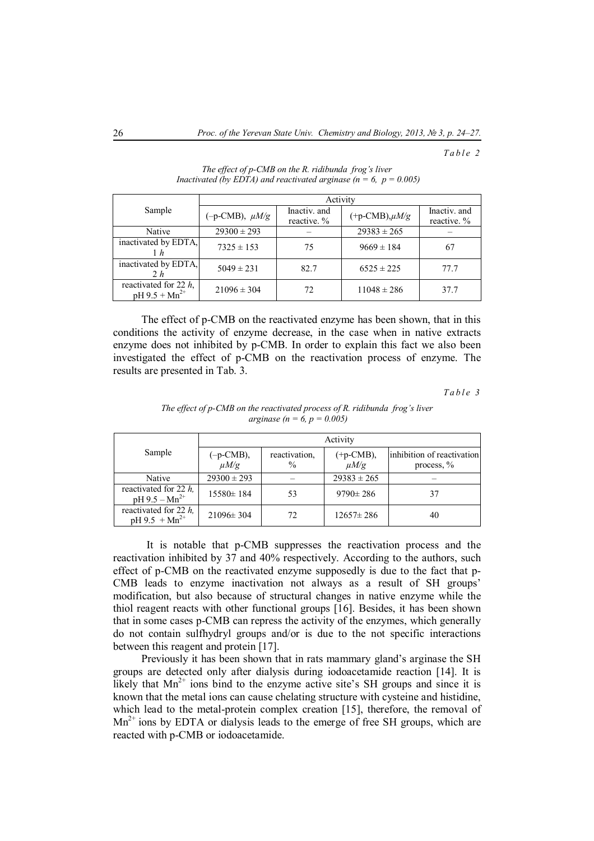## *T a b l e 2*

|                                                | Activity                      |                             |                     |                             |  |  |
|------------------------------------------------|-------------------------------|-----------------------------|---------------------|-----------------------------|--|--|
| Sample                                         | $(-p\text{-CMB})$ , $\mu M/g$ | Inactiv, and<br>reactive. % | $(+p-CMB), \mu M/g$ | Inactiv, and<br>reactive. % |  |  |
| Native                                         | $29300 \pm 293$               |                             | $29383 \pm 265$     |                             |  |  |
| inactivated by EDTA,<br>1h                     | $7325 \pm 153$                | 75                          | $9669 \pm 184$      | 67                          |  |  |
| inactivated by EDTA,<br>2 h                    | $5049 \pm 231$                | 82.7                        | $6525 \pm 225$      | 77.7                        |  |  |
| reactivated for 22 $h$ ,<br>$pH 9.5 + Mn^{2+}$ | $21096 \pm 304$               | 72                          | $11048 \pm 286$     | 37.7                        |  |  |

*The effect of p-CMB on the R. ridibunda frog's liver Inactivated (by EDTA) and reactivated arginase (n = 6, p = 0.005)* 

The effect of p-CMB on the reactivated enzyme has been shown, that in this conditions the activity of enzyme decrease, in the case when in native extracts enzyme does not inhibited by p-CMB. In order to explain this fact we also been investigated the effect of p-CMB on the reactivation process of enzyme. The results are presented in Tab. 3.

*T a b l e 3*

|                                                | Activity               |                                |                          |                                             |
|------------------------------------------------|------------------------|--------------------------------|--------------------------|---------------------------------------------|
| Sample                                         | (-р-СМВ),<br>$\mu M/g$ | reactivation,<br>$\frac{0}{0}$ | $(+p-CMB),$<br>$\mu M/g$ | inhibition of reactivation<br>process, $\%$ |
| Native                                         | $29300 \pm 293$        |                                | $29383 \pm 265$          |                                             |
| reactivated for 22 $h$ .<br>$pH 9.5 - Mn^{2+}$ | $15580 \pm 184$        | 53                             | $9790 \pm 286$           | 37                                          |
| reactivated for 22 $h$ .<br>$pH 9.5 + Mn^{2+}$ | $21096 \pm 304$        | 72                             | $12657 \pm 286$          | 40                                          |

*The effect of p-CMB on the reactivated process of R. ridibunda frog's liver arginase* ( $n = 6$ ,  $p = 0.005$ )

 It is notable that p-CMB suppresses the reactivation process and the reactivation inhibited by 37 and 40% respectively. According to the authors, such effect of p-CMB on the reactivated enzyme supposedly is due to the fact that p-CMB leads to enzyme inactivation not always as a result of SH groups' modification, but also because of structural changes in native enzyme while the thiol reagent reacts with other functional groups [16]. Besides, it has been shown that in some cases p-CMB can repress the activity of the enzymes, which generally do not contain sulfhydryl groups and/or is due to the not specific interactions between this reagent and protein [17].

Previously it has been shown that in rats mammary gland's arginase the SH groups are detected only after dialysis during iodoacetamide reaction [14]. It is likely that  $Mn^{2+}$  ions bind to the enzyme active site's SH groups and since it is known that the metal ions can cause chelating structure with cysteine and histidine, which lead to the metal-protein complex creation [15], therefore, the removal of  $Mn^{2+}$  ions by EDTA or dialysis leads to the emerge of free SH groups, which are reacted with p-CMB or iodoacetamide.